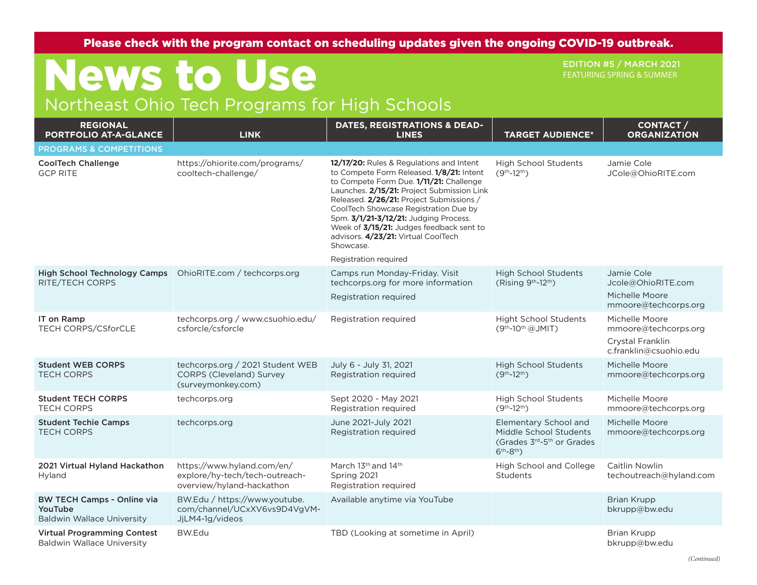Please check with the program contact on scheduling updates given the ongoing COVID-19 outbreak.

## News to Use Northeast Ohio Tech Programs for High Schools

EDITION #5 / MARCH 2021 FEATURING SPRING & SUMMER

## **REGIONAL PORTFOLIO AT-A-GLANCE LINK DATES, REGISTRATIONS & DEAD-LINES TARGET AUDIENCE\* CONTACT / ORGANIZATION** PROGRAMS & COMPETITIONS CoolTech Challenge GCP RITE https://ohiorite.com/programs/ cooltech-challenge/ **12/17/20:** Rules & Regulations and Intent to Compete Form Released. **1/8/21:** Intent to Compete Form Due. **1/11/21:** Challenge Launches. **2/15/21:** Project Submission Link Released. **2/26/21:** Project Submissions / CoolTech Showcase Registration Due by 5pm. **3/1/21-3/12/21:** Judging Process. Week of **3/15/21:** Judges feedback sent to advisors. **4/23/21:** Virtual CoolTech Showcase. Registration required High School Students (9th-12th) Jamie Cole JCole@OhioRITE.com High School Technology Camps | OhioRITE.com / techcorps.org RITE/TECH CORPS Camps run Monday-Friday. Visit techcorps.org for more information Registration required High School Students  $(Risina 9<sup>th</sup>-12<sup>th</sup>)$ Jamie Cole Jcole@OhioRITE.com Michelle Moore mmoore@techcorps.org IT on Ramp TECH CORPS/CSforCLE techcorps.org / www.csuohio.edu/ csforcle/csforcle Registration required Hight School Students (9th-10th @JMIT) Michelle Moore mmoore@techcorps.org Crystal Franklin c.franklin@csuohio.edu Student WEB CORPS TECH CORPS techcorps.org / 2021 Student WEB CORPS (Cleveland) Survey (surveymonkey.com) July 6 - July 31, 2021 Registration required High School Students (9th-12th) Michelle Moore mmoore@techcorps.org Student TECH CORPS TECH CORPS techcorps.org Sept 2020 - May 2021 Registration required High School Students (9th-12th) Michelle Moore mmoore@techcorps.org Student Techie Camps TECH CORPS techcorps.org June 2021-July 2021 Registration required Elementary School and Middle School Students (Grades 3rd-5th or Grades 6th-8th) Michelle Moore mmoore@techcorps.org 2021 Virtual Hyland Hackathon Hyland https://www.hyland.com/en/ explore/hy-tech/tech-outreachoverview/hyland-hackathon March 13<sup>th</sup> and 14<sup>th</sup> Spring 2021 Registration required High School and College **Students** Caitlin Nowlin techoutreach@hyland.com BW TECH Camps - Online via YouTube Baldwin Wallace University BW.Edu / https://www.youtube. com/channel/UCxXV6vs9D4VgVM-JjLM4-1g/videos Available anytime via YouTube Brian Krupp Brian Krupp bkrupp@bw.edu Virtual Programming Contest Baldwin Wallace University BW.Edu **TBD (Looking at sometime in April)** Brian Krupp Brian Krupp bkrupp@bw.edu